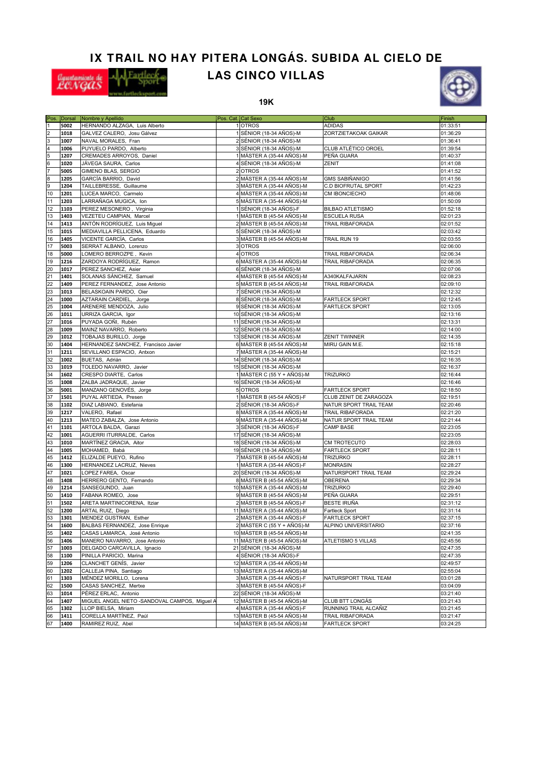## **IX TRAIL NO HAY PITERA LONGÁS. SUBIDA AL CIELO DE**



## **LAS CINCO VILLAS**





|                         |      | Pos. Dorsal Nombre y Apellido                 | Pos. Cat. Cat Sexo         | <b>Club</b>             | Finish   |
|-------------------------|------|-----------------------------------------------|----------------------------|-------------------------|----------|
|                         | 5002 | HERNANDO ALZAGA, Luis Alberto                 | 1 OTROS                    | <b>ADIDAS</b>           | 01:33:51 |
| $\overline{\mathbf{c}}$ | 1018 | GALVEZ CALERO, Josu Gálvez                    | 1 SÉNIOR (18-34 AÑOS)-M    | ZORTZIETAKOAK GAIKAR    | 01:36:29 |
| 3                       | 1007 | NAVAL MORALES, Fran                           | 2 SÉNIOR (18-34 AÑOS)-M    |                         | 01:36:41 |
| 4                       | 1006 | PUYUELO PARDO, Alberto                        | 3 SÉNIOR (18-34 AÑOS)-M    | CLUB ATLÉTICO OROEL     | 01:39:54 |
| 5                       | 1207 | CREMADES ARROYOS, Daniel                      | 1 MÁSTER A (35-44 AÑOS)-M  | PEÑA GUARA              | 01:40:37 |
| 6                       | 1020 | JÁVEGA SAURA, Carlos                          | 4 SÉNIOR (18-34 AÑOS)-M    | ZENIT                   | 01:41:08 |
| 7                       | 5005 | <b>GIMENO BLAS, SERGIO</b>                    | 2 OTROS                    |                         | 01:41:52 |
|                         |      |                                               |                            |                         |          |
| 8                       | 1205 | GARCÍA BARRIO, David                          | 2 MÁSTER A (35-44 AÑOS)-M  | <b>GMS SABIÑANIGO</b>   | 01:41:56 |
| 9                       | 1204 | TAILLEBRESSE, Guillaume                       | 3 MÁSTER A (35-44 AÑOS)-M  | C.D BIOFRUTAL SPORT     | 01:42:23 |
| 10                      | 1201 | LUCEA MARCO, Carmelo                          | 4 MÁSTER A (35-44 AÑOS)-M  | <b>CM IBONCIECHO</b>    | 01:48:06 |
| 11                      | 1203 | LARRAÑAGA MUGICA, Ion                         | 5 MÁSTER A (35-44 AÑOS)-M  |                         | 01:50:09 |
| 12                      | 1103 | PEREZ MESONERO, Virginia                      | 1 SÉNIOR (18-34 AÑOS)-F    | <b>BILBAO ATLETISMO</b> | 01:52:18 |
| 13                      | 1403 | VEZETEU CAMPIAN, Marcel                       | 1 MÁSTER B (45-54 AÑOS)-M  | <b>ESCUELA RUSA</b>     | 02:01:23 |
| 14                      | 1413 | ANTÓN RODRÍGUEZ, Luis Miguel                  | 2 MÁSTER B (45-54 AÑOS)-M  | TRAIL RIBAFORADA        | 02:01:52 |
| 15                      | 1015 | MEDIAVILLA PELLICENA, Eduardo                 | 5 SÉNIOR (18-34 AÑOS)-M    |                         | 02:03:42 |
| 16                      | 1405 | VICENTE GARCÍA, Carlos                        | 3 MÁSTER B (45-54 AÑOS)-M  | TRAIL RUN 19            | 02:03:55 |
| 17                      | 5003 | SERRAT ALBANO, Lorenzo                        | 3 OTROS                    |                         | 02:06:00 |
| 18                      | 5000 | LOMERO BERROZPE, Kevin                        | 4 OTROS                    | TRAIL RIBAFORADA        | 02:06:34 |
| 19                      | 1216 | ZARDOYA RODRÍGUEZ, Ramon                      | 6 MÁSTER A (35-44 AÑOS)-M  | TRAIL RIBAFORADA        | 02:06:35 |
| 20                      | 1017 |                                               |                            |                         |          |
|                         |      | PEREZ SANCHEZ, Asier                          | 6 SÉNIOR (18-34 AÑOS)-M    |                         | 02:07:06 |
| 21                      | 1401 | SOLANAS SÁNCHEZ, Samuel                       | 4 MÁSTER B (45-54 AÑOS)-M  | A340KALFAJARIN          | 02:08:23 |
| 22                      | 1409 | PEREZ FERNANDEZ, Jose Antonio                 | 5 MÁSTER B (45-54 AÑOS)-M  | TRAIL RIBAFORADA        | 02:09:10 |
| 23                      | 1013 | BELASKOAIN PARDO, Oier                        | 7 SÉNIOR (18-34 AÑOS)-M    |                         | 02:12:32 |
| 24                      | 1000 | AZTARAIN CARDIEL, Jorge                       | 8 SÉNIOR (18-34 AÑOS)-M    | <b>FARTLECK SPORT</b>   | 02:12:45 |
| 25                      | 1004 | ARENERE MENDOZA, Julio                        | 9 SÉNIOR (18-34 AÑOS)-M    | <b>FARTLECK SPORT</b>   | 02:13:05 |
| 26                      | 1011 | URRIZA GARCIA, Igor                           | 10 SÉNIOR (18-34 AÑOS)-M   |                         | 02:13:16 |
| 27                      | 1016 | PUYADA GOÑI, Rubén                            | 11 SÉNIOR (18-34 AÑOS)-M   |                         | 02:13:31 |
| 28                      | 1009 | MAINZ NAVARRO, Roberto                        | 12 SÉNIOR (18-34 AÑOS)-M   |                         | 02:14:00 |
| 29                      | 1012 | TOBAJAS BURILLO, Jorge                        | 13 SÉNIOR (18-34 AÑOS)-M   | <b>ZENIT TWINNER</b>    | 02:14:35 |
| 30                      | 1404 | HERNANDEZ SANCHEZ, Francisco Javier           | 6 MÁSTER B (45-54 AÑOS)-M  | MIRU GAIN M.E.          | 02:15:18 |
| 31                      | 1211 | SEVILLANO ESPACIO, Antxon                     | 7 MÁSTER A (35-44 AÑOS)-M  |                         | 02:15:21 |
| 32                      | 1002 | BUETAS, Adrián                                | 14 SÉNIOR (18-34 AÑOS)-M   |                         | 02:16:35 |
| 33                      | 1019 | TOLEDO NAVARRO, Javier                        | 15 SÉNIOR (18-34 AÑOS)-M   |                         | 02:16:37 |
|                         |      |                                               |                            |                         |          |
| 34                      | 1602 | CRESPO DIARTE, Carlos                         | 1 MÁSTER C (55 Y + AÑOS)-M | <b>TRIZURKO</b>         | 02:16:44 |
| 35                      | 1008 | ZALBA JADRAQUE, Javier                        | 16 SÉNIOR (18-34 AÑOS)-M   |                         | 02:16:46 |
| 36                      | 5001 | MANZANO GENOVÉS, Jorge                        | 5 OTROS                    | <b>FARTLECK SPORT</b>   | 02:18:50 |
| 37                      | 1501 | PUYAL ARTIEDA, Presen                         | 1 MÁSTER B (45-54 AÑOS)-F  | CLUB ZENIT DE ZARAGOZA  | 02:19:51 |
| 38                      | 1102 | DIAZ LABIANO, Estefania                       | 2 SÉNIOR (18-34 AÑOS)-F    | NATUR SPORT TRAIL TEAM  | 02:20:46 |
| 39                      | 1217 | VALERO, Rafael                                | 8 MÁSTER A (35-44 AÑOS)-M  | TRAIL RIBAFORADA        | 02:21:20 |
| 40                      | 1213 | MATEO ZABALZA, Jose Antonio                   | 9 MÁSTER A (35-44 AÑOS)-M  | NATUR SPORT TRAIL TEAM  | 02:21:44 |
| 41                      | 1101 | ARTOLA BALDA, Garazi                          | 3 SÉNIOR (18-34 AÑOS)-F    | <b>CAMP BASE</b>        | 02:23:05 |
| 42                      | 1001 | AGUERRI ITURRALDE, Carlos                     | 17 SÉNIOR (18-34 AÑOS)-M   |                         | 02:23:05 |
| 43                      | 1010 | MARTÍNEZ GRACIA, Aitor                        | 18 SÉNIOR (18-34 AÑOS)-M   | <b>CM TROTECUTO</b>     | 02:28:03 |
| 44                      | 1005 | MOHAMED, Babá                                 | 19 SÉNIOR (18-34 AÑOS)-M   | <b>FARTLECK SPORT</b>   | 02:28:11 |
| 45                      | 1412 | ELIZALDE PUEYO, Rufino                        | 7 MÁSTER B (45-54 AÑOS)-M  | <b>TRIZURKO</b>         | 02:28:11 |
| 46                      |      |                                               |                            |                         |          |
| 47                      | 1300 | HERNANDEZ LACRUZ, Nieves                      | 1 MÁSTER A (35-44 AÑOS)-F  | <b>MONRASIN</b>         | 02:28:27 |
|                         | 1021 | LOPEZ FAREA, Oscar                            | 20 SÉNIOR (18-34 AÑOS)-M   | NATURSPORT TRAIL TEAM   | 02:29:24 |
| 48                      | 1408 | HERRERO GENTO, Fernando                       | 8 MÁSTER B (45-54 AÑOS)-M  | <b>OBERENA</b>          | 02:29:34 |
| 49                      | 1214 | SANSEGUNDO, Juan                              | 10 MÁSTER A (35-44 AÑOS)-M | <b>TRIZURKO</b>         | 02:29:40 |
| 50                      | 1410 | FABANA ROMEO, Jose                            | 9 MÁSTER B (45-54 AÑOS)-M  | PEÑA GUARA              | 02:29:51 |
| 51                      | 1502 | ARETA MARTINICORENA, Itziar                   | 2 MÁSTER B (45-54 AÑOS)-F  | <b>BESTE IRUÑA</b>      | 02:31:12 |
| 52                      | 1200 | ARTAL RUIZ, Diego                             | 11 MÁSTER A (35-44 AÑOS)-M | <b>Fartleck Sport</b>   | 02:31:14 |
| 53                      | 1301 | MENDEZ GUSTRAN, Esther                        | 2 MÁSTER A (35-44 AÑOS)-F  | <b>FARTLECK SPORT</b>   | 02:37:15 |
| 54                      | 1600 | BALBAS FERNANDEZ, Jose Enrique                | 2 MASTER C (55 Y + ANOS)-M | ALPINO UNIVERSITARIO    | 02:37:16 |
| 55                      | 1402 | CASAS LAMARCA, José Antonio                   | 10 MÁSTER B (45-54 AÑOS)-M |                         | 02:41:35 |
| 56                      | 1406 | MANERO NAVARRO, Jose Antonio                  | 11 MÁSTER B (45-54 AÑOS)-M | ATLETISMO 5 VILLAS      | 02:45:56 |
| 57                      | 1003 | DELGADO CARCAVILLA, Ignacio                   | 21 SÉNIOR (18-34 AÑOS)-M   |                         | 02:47:35 |
| 58                      | 1100 |                                               | 4 SÉNIOR (18-34 AÑOS)-F    |                         | 02:47:35 |
|                         |      | PINILLA PARICIO, Marina                       |                            |                         |          |
| 59                      | 1206 | CLANCHET GENÍS, Javier                        | 12 MÁSTER A (35-44 AÑOS)-M |                         | 02:49:57 |
| 60                      | 1202 | CALLEJA PINA, Santiago                        | 13 MÁSTER A (35-44 AÑOS)-M |                         | 02:55:04 |
| 61                      | 1303 | MÉNDEZ MORILLO, Lorena                        | 3 MÁSTER A (35-44 AÑOS)-F  | NATURSPORT TRAIL TEAM   | 03:01:28 |
| 62                      | 1500 | CASAS SANCHEZ, Mertxe                         | 3 MÁSTER B (45-54 AÑOS)-F  |                         | 03:04:09 |
| 63                      | 1014 | PÉREZ ERLAC, Antonio                          | 22 SÉNIOR (18-34 AÑOS)-M   |                         | 03:21:40 |
| 64                      | 1407 | MIGUEL ANGEL NIETO -SANDOVAL CAMPOS, Miguel A | 12 MÁSTER B (45-54 AÑOS)-M | <b>CLUB BTT LONGÁS</b>  | 03:21:43 |
| 65                      | 1302 | LLOP BIELSA, Miriam                           | 4 MÁSTER A (35-44 AÑOS)-F  | RUNNING TRAIL ALCAÑIZ   | 03:21:45 |
| 66                      | 1411 | CORELLA MARTÍNEZ, Paúl                        | 13 MÁSTER B (45-54 AÑOS)-M | TRAIL RIBAFORADA        | 03:21:47 |
| 67                      | 1400 | RAMIREZ RUIZ, Abel                            | 14 MÁSTER B (45-54 AÑOS)-M | <b>FARTLECK SPORT</b>   | 03:24:25 |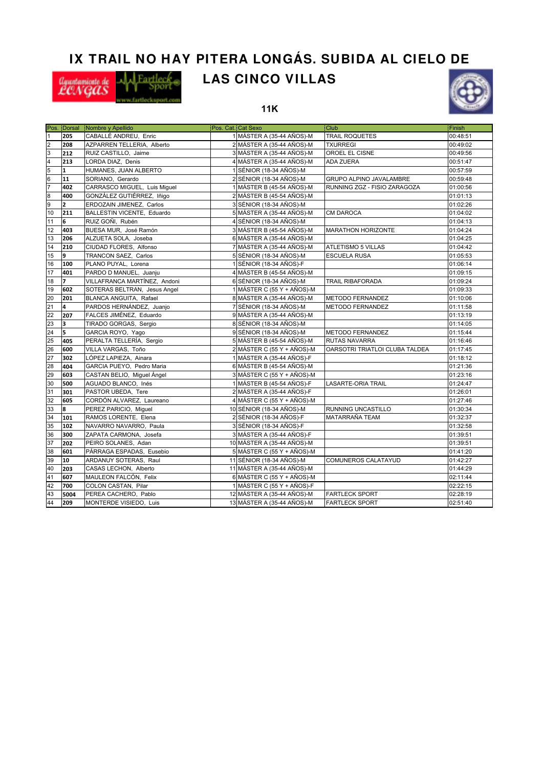# **IX TRAIL NO HAY PITERA LONGÁS. SUBIDA AL CIELO DE**



# **LAS CINCO VILLAS**



**11K**

|                 |                         | Pos. Dorsal Nombre y Apellido | Pos. Cat. Cat Sexo |                              | <b>Club</b>                    | Finish   |
|-----------------|-------------------------|-------------------------------|--------------------|------------------------------|--------------------------------|----------|
| $\overline{1}$  | 205                     | CABALLÉ ANDREU, Enric         |                    | 1 MÁSTER A (35-44 AÑOS)-M    | <b>TRAIL ROQUETES</b>          | 00:48:51 |
| $\overline{c}$  | 208                     | AZPARREN TELLERIA, Alberto    |                    | 2 MÁSTER A (35-44 AÑOS)-M    | <b>TXURREGI</b>                | 00:49:02 |
| 3               | 212                     | RUIZ CASTILLO, Jaime          |                    | 3 MÁSTER A (35-44 AÑOS)-M    | OROEL EL CISNE                 | 00:49:56 |
| 4               | 213                     | LORDA DIAZ, Denis             |                    | 4 MÁSTER A (35-44 AÑOS)-M    | <b>ADA ZUERA</b>               | 00:51:47 |
| 5               | $\mathbf{1}$            | HUMANES, JUAN ALBERTO         |                    | 1 SÉNIOR (18-34 AÑOS)-M      |                                | 00:57:59 |
| $6\overline{6}$ | 11                      | SORIANO, Gerardo              |                    | 2 SÉNIOR (18-34 AÑOS)-M      | GRUPO ALPINO JAVALAMBRE        | 00:59:48 |
| 7               | 402                     | CARRASCO MIGUEL, Luis Miquel  |                    | 1 MÁSTER B (45-54 AÑOS)-M    | RUNNING ZGZ - FISIO ZARAGOZA   | 01:00:56 |
| $\overline{8}$  | 400                     | GONZÁLEZ GUTIÉRREZ, Iñigo     |                    | 2 MÁSTER B (45-54 AÑOS)-M    |                                | 01:01:13 |
| 9               | $\overline{2}$          | ERDOZAIN JIMENEZ, Carlos      |                    | 3 SÉNIOR (18-34 AÑOS)-M      |                                | 01:02:26 |
| 10              | 211                     | BALLESTIN VICENTE, Eduardo    |                    | 5 MÁSTER A (35-44 AÑOS)-M    | <b>CM DAROCA</b>               | 01:04:02 |
| 11              | 6                       | RUIZ GOÑI, Rubén              |                    | 4 SÉNIOR (18-34 AÑOS)-M      |                                | 01:04:13 |
| 12              | 403                     | BUESA MUR, José Ramón         |                    | 3 MÁSTER B (45-54 AÑOS)-M    | <b>MARATHON HORIZONTE</b>      | 01:04:24 |
| 13              | 206                     | ALZUETA SOLA, Joseba          |                    | 6 MÁSTER A (35-44 AÑOS)-M    |                                | 01:04:25 |
| 14              | 210                     | CIUDAD FLORES, Alfonso        |                    | 7 MÁSTER A (35-44 AÑOS)-M    | <b>ATLETISMO 5 VILLAS</b>      | 01:04:42 |
| 15              | 9                       | TRANCON SAEZ, Carlos          |                    | 5 SÉNIOR (18-34 AÑOS)-M      | <b>ESCUELA RUSA</b>            | 01:05:53 |
| 16              | 100                     | PLANO PUYAL, Lorena           |                    | 1 SÉNIOR (18-34 AÑOS)-F      |                                | 01:06:14 |
| 17              | 401                     | PARDO D MANUEL, Juanju        |                    | 4 MÁSTER B (45-54 AÑOS)-M    |                                | 01:09:15 |
| 18              | $\overline{z}$          | VILLAFRANCA MARTÍNEZ, Andoni  |                    | 6 SÉNIOR (18-34 AÑOS)-M      | <b>TRAIL RIBAFORADA</b>        | 01:09:24 |
| 19              | 602                     | SOTERAS BELTRAN, Jesus Angel  |                    | 1 MÁSTER C (55 Y + AÑOS)-M   |                                | 01:09:33 |
| 20              | 201                     | BLANCA ANGUITA, Rafael        |                    | 8 MÁSTER A (35-44 AÑOS)-M    | METODO FERNANDEZ               | 01:10:06 |
| 21              | $\overline{\mathbf{4}}$ | PARDOS HERNÁNDEZ, Juanjo      |                    | 7 SÉNIOR (18-34 AÑOS)-M      | <b>METODO FERNANDEZ</b>        | 01:11:58 |
| 22              | 207                     | FALCES JIMÉNEZ, Eduardo       |                    | 9 MÁSTER A (35-44 AÑOS)-M    |                                | 01:13:19 |
| 23              | 3                       | TIRADO GORGAS, Sergio         |                    | 8 SÉNIOR (18-34 AÑOS)-M      |                                | 01:14:05 |
| 24              | 5                       | GARCIA ROYO, Yago             |                    | 9 SÉNIOR (18-34 AÑOS)-M      | METODO FERNANDEZ               | 01:15:44 |
| 25              | 405                     | PERALTA TELLERÍA, Sergio      |                    | 5 MÁSTER B (45-54 AÑOS)-M    | <b>RUTAS NAVARRA</b>           | 01:16:46 |
| 26              | 600                     | VILLA VARGAS, Toño            |                    | 2 MÁSTER C (55 Y + AÑOS)-M   | OARSOTRI TRIATLOI CLUBA TALDEA | 01:17:45 |
| 27              | 302                     | LÓPEZ LAPIEZA, Ainara         |                    | 1 MÁSTER A (35-44 AÑOS)-F    |                                | 01:18:12 |
| 28              | 404                     | GARCIA PUEYO, Pedro Maria     |                    | 6 MÁSTER B (45-54 AÑOS)-M    |                                | 01:21:36 |
| 29              | 603                     | CASTAN BELIO, Miguel Ángel    |                    | 3 MÁSTER C (55 Y + AÑOS)-M   |                                | 01:23:16 |
| 30              | 500                     | AGUADO BLANCO, Inés           |                    | 1 MÁSTER B (45-54 AÑOS)-F    | <b>LASARTE-ORIA TRAIL</b>      | 01:24:47 |
| 31              | 301                     | PASTOR UBEDA, Tere            |                    | 2 MÁSTER A (35-44 AÑOS)-F    |                                | 01:26:01 |
| 32              | 605                     | CORDÓN ALVAREZ, Laureano      |                    | 4 MÁSTER C (55 Y + AÑOS)-M   |                                | 01:27:46 |
| 33              | 8                       | PEREZ PARICIO, Miguel         |                    | 10 SÉNIOR (18-34 AÑOS)-M     | RUNNING UNCASTILLO             | 01:30:34 |
| 34              | 101                     | RAMOS LORENTE, Elena          |                    | 2 SÉNIOR (18-34 AÑOS)-F      | MATARRAÑA TEAM                 | 01:32:37 |
| 35              | 102                     | NAVARRO NAVARRO, Paula        |                    | 3 SÉNIOR (18-34 AÑOS)-F      |                                | 01:32:58 |
| 36              | 300                     | ZAPATA CARMONA, Josefa        |                    | 3 MÁSTER A (35-44 AÑOS)-F    |                                | 01:39:51 |
| 37              | 202                     | PEIRO SOLANES, Adan           |                    | 10 MÁSTER A (35-44 AÑOS)-M   |                                | 01:39:51 |
| 38              | 601                     | PÁRRAGA ESPADAS, Eusebio      |                    | $5$ MÁSTER C (55 Y + AÑOS)-M |                                | 01:41:20 |
| 39              | 10                      | ARDANUY SOTERAS, Raul         |                    | 11 SÉNIOR (18-34 AÑOS)-M     | COMUNEROS CALATAYUD            | 01:42:27 |
| 40              | 203                     | CASAS LECHON, Alberto         |                    | 11 MÁSTER A (35-44 AÑOS)-M   |                                | 01:44:29 |
| 41              | 607                     | MAULEON FALCÓN, Felix         |                    | 6 MÁSTER C (55 Y + AÑOS)-M   |                                | 02:11:44 |
| 42              | 700                     | COLON CASTAN, Pilar           |                    | 1 MÁSTER C (55 Y + AÑOS)-F   |                                | 02:22:15 |
| 43              | 5004                    | PEREA CACHERO, Pablo          |                    | 12 MÁSTER A (35-44 AÑOS)-M   | <b>FARTLECK SPORT</b>          | 02:28:19 |
| 44              | 209                     | MONTERDE VISIEDO, Luis        |                    | 13 MÁSTER A (35-44 AÑOS)-M   | <b>FARTLECK SPORT</b>          | 02:51:40 |